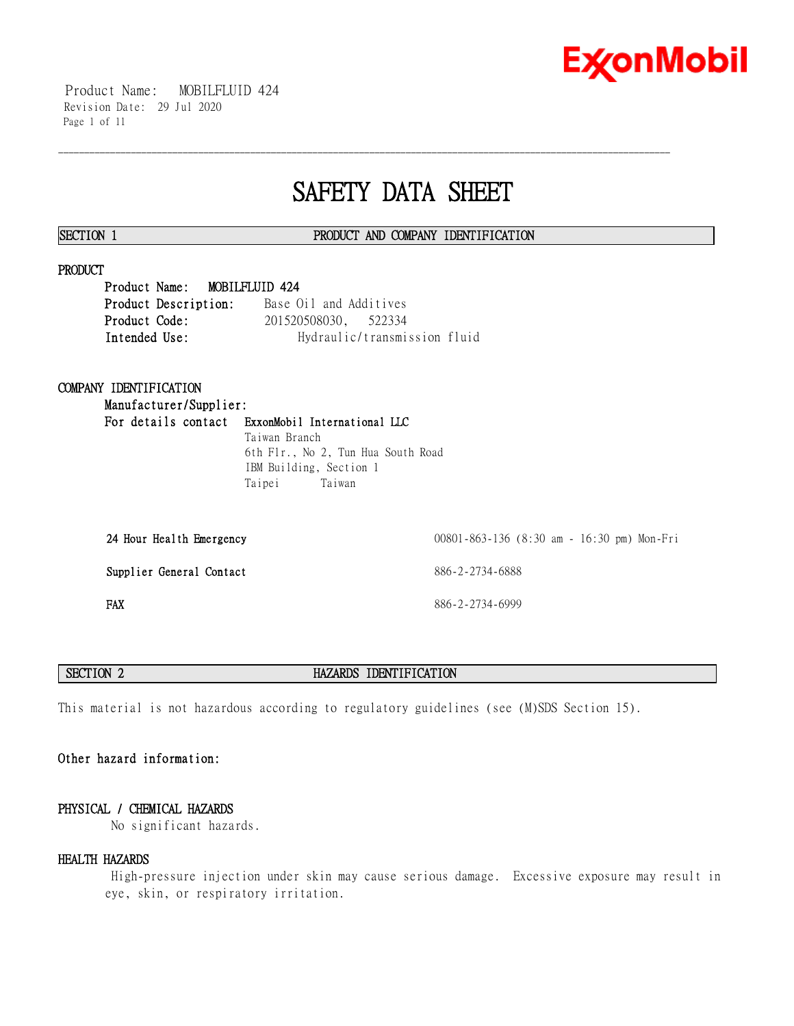

 Product Name: MOBILFLUID 424 Revision Date: 29 Jul 2020 Page 1 of 11

# **SAFETY DATA SHEET**

\_\_\_\_\_\_\_\_\_\_\_\_\_\_\_\_\_\_\_\_\_\_\_\_\_\_\_\_\_\_\_\_\_\_\_\_\_\_\_\_\_\_\_\_\_\_\_\_\_\_\_\_\_\_\_\_\_\_\_\_\_\_\_\_\_\_\_\_\_\_\_\_\_\_\_\_\_\_\_\_\_\_\_\_\_\_\_\_\_\_\_\_\_\_\_\_\_\_\_\_\_\_\_\_\_\_\_\_\_\_\_\_\_\_\_\_\_\_

# **SECTION 1 PRODUCT AND COMPANY IDENTIFICATION**

#### **PRODUCT**

**Product Name: MOBILFLUID 424 Product Description:** Base Oil and Additives **Product Code:** 201520508030, 522334 **Intended Use:** Hydraulic/transmission fluid

# **COMPANY IDENTIFICATION**

**Manufacturer/Supplier: For details contact ExxonMobil International LLC** Taiwan Branch 6th Flr., No 2, Tun Hua South Road

IBM Building, Section 1 Taipei Taiwan

| 24 Hour Health Emergency | 00801-863-136 (8:30 am - 16:30 pm) Mon-Fri |
|--------------------------|--------------------------------------------|
| Supplier General Contact | 886-2-2734-6888                            |
| FAX                      | 886-2-2734-6999                            |

### **SECTION 2 HAZARDS IDENTIFICATION**

This material is not hazardous according to regulatory guidelines (see (M)SDS Section 15).

# **Other hazard information:**

# **PHYSICAL / CHEMICAL HAZARDS**

No significant hazards.

#### **HEALTH HAZARDS**

 High-pressure injection under skin may cause serious damage. Excessive exposure may result in eye, skin, or respiratory irritation.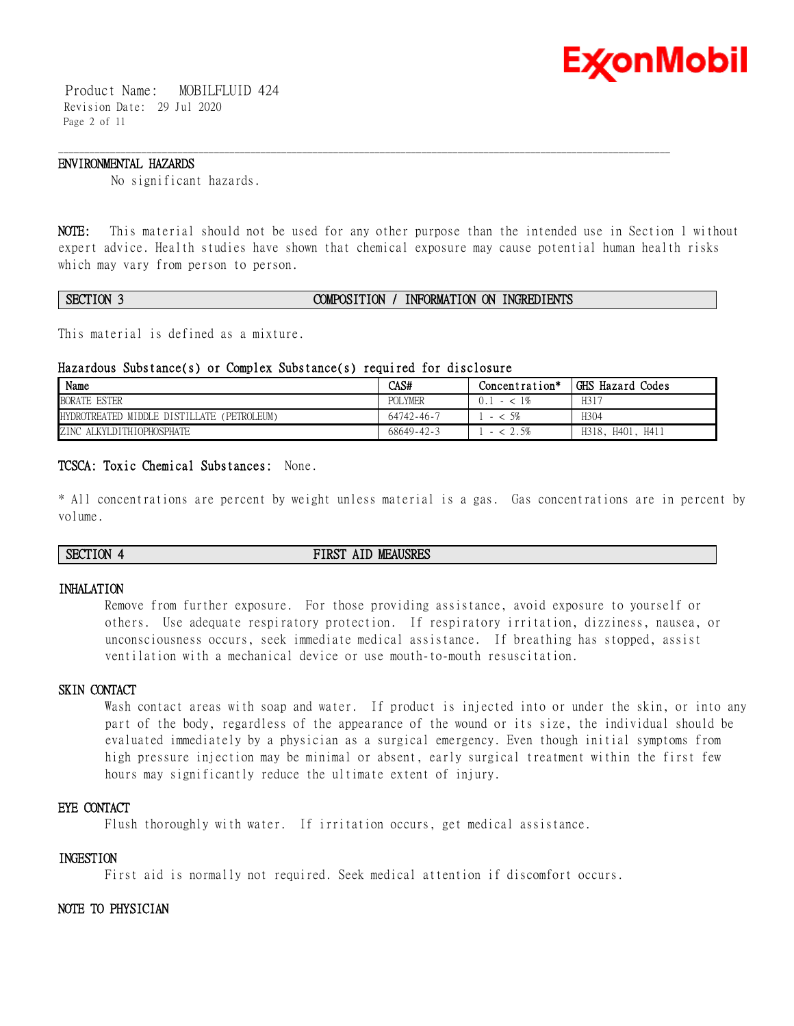

 Product Name: MOBILFLUID 424 Revision Date: 29 Jul 2020 Page 2 of 11

#### **ENVIRONMENTAL HAZARDS**

No significant hazards.

**NOTE:** This material should not be used for any other purpose than the intended use in Section 1 without expert advice. Health studies have shown that chemical exposure may cause potential human health risks which may vary from person to person.

\_\_\_\_\_\_\_\_\_\_\_\_\_\_\_\_\_\_\_\_\_\_\_\_\_\_\_\_\_\_\_\_\_\_\_\_\_\_\_\_\_\_\_\_\_\_\_\_\_\_\_\_\_\_\_\_\_\_\_\_\_\_\_\_\_\_\_\_\_\_\_\_\_\_\_\_\_\_\_\_\_\_\_\_\_\_\_\_\_\_\_\_\_\_\_\_\_\_\_\_\_\_\_\_\_\_\_\_\_\_\_\_\_\_\_\_\_\_

# **SECTION 3 COMPOSITION / INFORMATION ON INGREDIENTS**

This material is defined as a mixture.

#### **Hazardous Substance(s) or Complex Substance(s) required for disclosure**

| Name                                       | CAS#             | Concentration*      | GHS Hazard Codes    |
|--------------------------------------------|------------------|---------------------|---------------------|
| <b>BORATE ESTER</b>                        | <b>POLYMER</b>   | $1\%$<br>0.<br>$-<$ | H317                |
| HYDROTREATED MIDDLE DISTILLATE (PETROLEUM) | 64742-46-7       | $< 5\%$             | H304                |
| ZINC ALKYLDITHIOPHOSPHATE                  | $68649 - 42 - 3$ | . . 5%              | H318, H401,<br>H411 |

# **TCSCA: Toxic Chemical Substances:** None.

\* All concentrations are percent by weight unless material is a gas. Gas concentrations are in percent by volume.

**SECTION 4 FIRST AID MEAUSRES**

# **INHALATION**

Remove from further exposure. For those providing assistance, avoid exposure to yourself or others. Use adequate respiratory protection. If respiratory irritation, dizziness, nausea, or unconsciousness occurs, seek immediate medical assistance. If breathing has stopped, assist ventilation with a mechanical device or use mouth-to-mouth resuscitation.

# **SKIN CONTACT**

Wash contact areas with soap and water. If product is injected into or under the skin, or into any part of the body, regardless of the appearance of the wound or its size, the individual should be evaluated immediately by a physician as a surgical emergency. Even though initial symptoms from high pressure injection may be minimal or absent, early surgical treatment within the first few hours may significantly reduce the ultimate extent of injury.

### **EYE CONTACT**

Flush thoroughly with water. If irritation occurs, get medical assistance.

#### **INGESTION**

First aid is normally not required. Seek medical attention if discomfort occurs.

# **NOTE TO PHYSICIAN**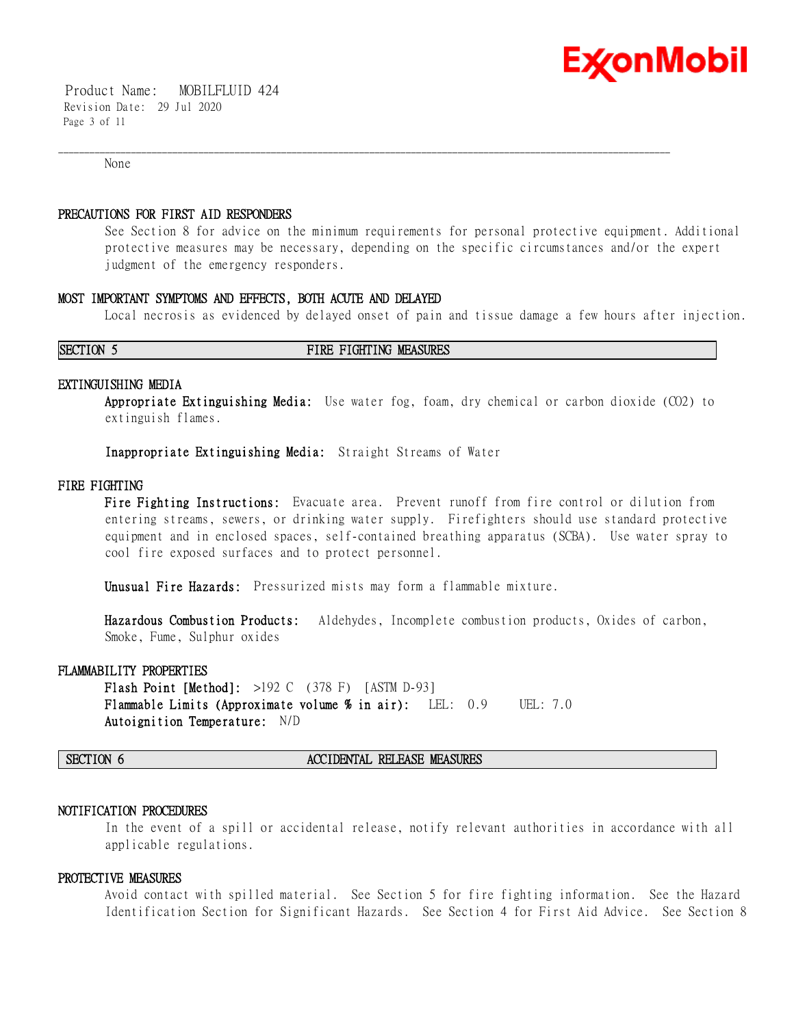

 Product Name: MOBILFLUID 424 Revision Date: 29 Jul 2020 Page 3 of 11

None

#### **PRECAUTIONS FOR FIRST AID RESPONDERS**

See Section 8 for advice on the minimum requirements for personal protective equipment. Additional protective measures may be necessary, depending on the specific circumstances and/or the expert judgment of the emergency responders.

\_\_\_\_\_\_\_\_\_\_\_\_\_\_\_\_\_\_\_\_\_\_\_\_\_\_\_\_\_\_\_\_\_\_\_\_\_\_\_\_\_\_\_\_\_\_\_\_\_\_\_\_\_\_\_\_\_\_\_\_\_\_\_\_\_\_\_\_\_\_\_\_\_\_\_\_\_\_\_\_\_\_\_\_\_\_\_\_\_\_\_\_\_\_\_\_\_\_\_\_\_\_\_\_\_\_\_\_\_\_\_\_\_\_\_\_\_\_

### **MOST IMPORTANT SYMPTOMS AND EFFECTS, BOTH ACUTE AND DELAYED**

Local necrosis as evidenced by delayed onset of pain and tissue damage a few hours after injection.

#### **SECTION 5 FIRE FIGHTING MEASURES**

#### **EXTINGUISHING MEDIA**

**Appropriate Extinguishing Media:** Use water fog, foam, dry chemical or carbon dioxide (CO2) to extinguish flames.

**Inappropriate Extinguishing Media:** Straight Streams of Water

### **FIRE FIGHTING**

**Fire Fighting Instructions:** Evacuate area. Prevent runoff from fire control or dilution from entering streams, sewers, or drinking water supply. Firefighters should use standard protective equipment and in enclosed spaces, self-contained breathing apparatus (SCBA). Use water spray to cool fire exposed surfaces and to protect personnel.

**Unusual Fire Hazards:** Pressurized mists may form a flammable mixture.

**Hazardous Combustion Products:** Aldehydes, Incomplete combustion products, Oxides of carbon, Smoke, Fume, Sulphur oxides

### **FLAMMABILITY PROPERTIES**

**Flash Point [Method]:** >192 C (378 F) [ASTM D-93] **Flammable Limits (Approximate volume % in air):** LEL: 0.9 UEL: 7.0 **Autoignition Temperature:** N/D

#### **SECTION 6 ACCIDENTAL RELEASE MEASURES**

#### **NOTIFICATION PROCEDURES**

In the event of a spill or accidental release, notify relevant authorities in accordance with all applicable regulations.

#### **PROTECTIVE MEASURES**

Avoid contact with spilled material. See Section 5 for fire fighting information. See the Hazard Identification Section for Significant Hazards. See Section 4 for First Aid Advice. See Section 8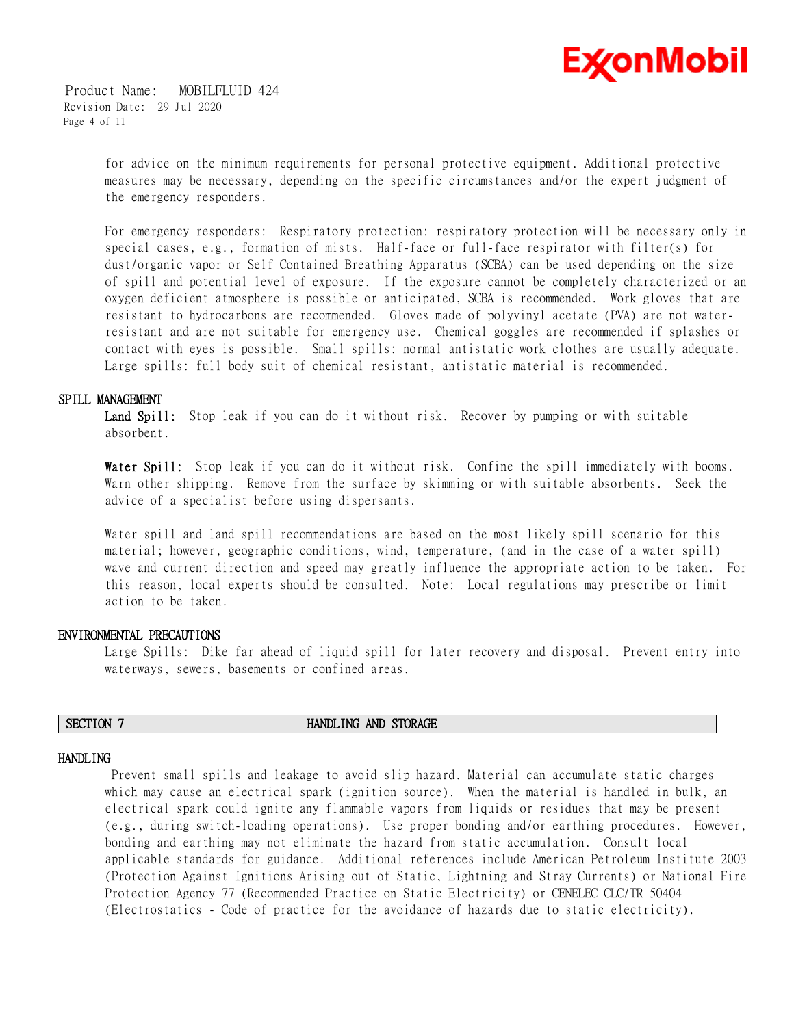

 Product Name: MOBILFLUID 424 Revision Date: 29 Jul 2020 Page 4 of 11

> for advice on the minimum requirements for personal protective equipment. Additional protective measures may be necessary, depending on the specific circumstances and/or the expert judgment of the emergency responders.

\_\_\_\_\_\_\_\_\_\_\_\_\_\_\_\_\_\_\_\_\_\_\_\_\_\_\_\_\_\_\_\_\_\_\_\_\_\_\_\_\_\_\_\_\_\_\_\_\_\_\_\_\_\_\_\_\_\_\_\_\_\_\_\_\_\_\_\_\_\_\_\_\_\_\_\_\_\_\_\_\_\_\_\_\_\_\_\_\_\_\_\_\_\_\_\_\_\_\_\_\_\_\_\_\_\_\_\_\_\_\_\_\_\_\_\_\_\_

For emergency responders: Respiratory protection: respiratory protection will be necessary only in special cases, e.g., formation of mists. Half-face or full-face respirator with filter(s) for dust/organic vapor or Self Contained Breathing Apparatus (SCBA) can be used depending on the size of spill and potential level of exposure. If the exposure cannot be completely characterized or an oxygen deficient atmosphere is possible or anticipated, SCBA is recommended. Work gloves that are resistant to hydrocarbons are recommended. Gloves made of polyvinyl acetate (PVA) are not waterresistant and are not suitable for emergency use. Chemical goggles are recommended if splashes or contact with eyes is possible. Small spills: normal antistatic work clothes are usually adequate. Large spills: full body suit of chemical resistant, antistatic material is recommended.

# **SPILL MANAGEMENT**

Land Spill: Stop leak if you can do it without risk. Recover by pumping or with suitable absorbent.

**Water Spill:** Stop leak if you can do it without risk. Confine the spill immediately with booms. Warn other shipping. Remove from the surface by skimming or with suitable absorbents. Seek the advice of a specialist before using dispersants.

Water spill and land spill recommendations are based on the most likely spill scenario for this material; however, geographic conditions, wind, temperature, (and in the case of a water spill) wave and current direction and speed may greatly influence the appropriate action to be taken. For this reason, local experts should be consulted. Note: Local regulations may prescribe or limit action to be taken.

# **ENVIRONMENTAL PRECAUTIONS**

Large Spills: Dike far ahead of liquid spill for later recovery and disposal. Prevent entry into waterways, sewers, basements or confined areas.

# **SECTION 7 HANDLING AND STORAGE**

#### **HANDLING**

 Prevent small spills and leakage to avoid slip hazard. Material can accumulate static charges which may cause an electrical spark (ignition source). When the material is handled in bulk, an electrical spark could ignite any flammable vapors from liquids or residues that may be present (e.g., during switch-loading operations). Use proper bonding and/or earthing procedures. However, bonding and earthing may not eliminate the hazard from static accumulation. Consult local applicable standards for guidance. Additional references include American Petroleum Institute 2003 (Protection Against Ignitions Arising out of Static, Lightning and Stray Currents) or National Fire Protection Agency 77 (Recommended Practice on Static Electricity) or CENELEC CLC/TR 50404 (Electrostatics - Code of practice for the avoidance of hazards due to static electricity).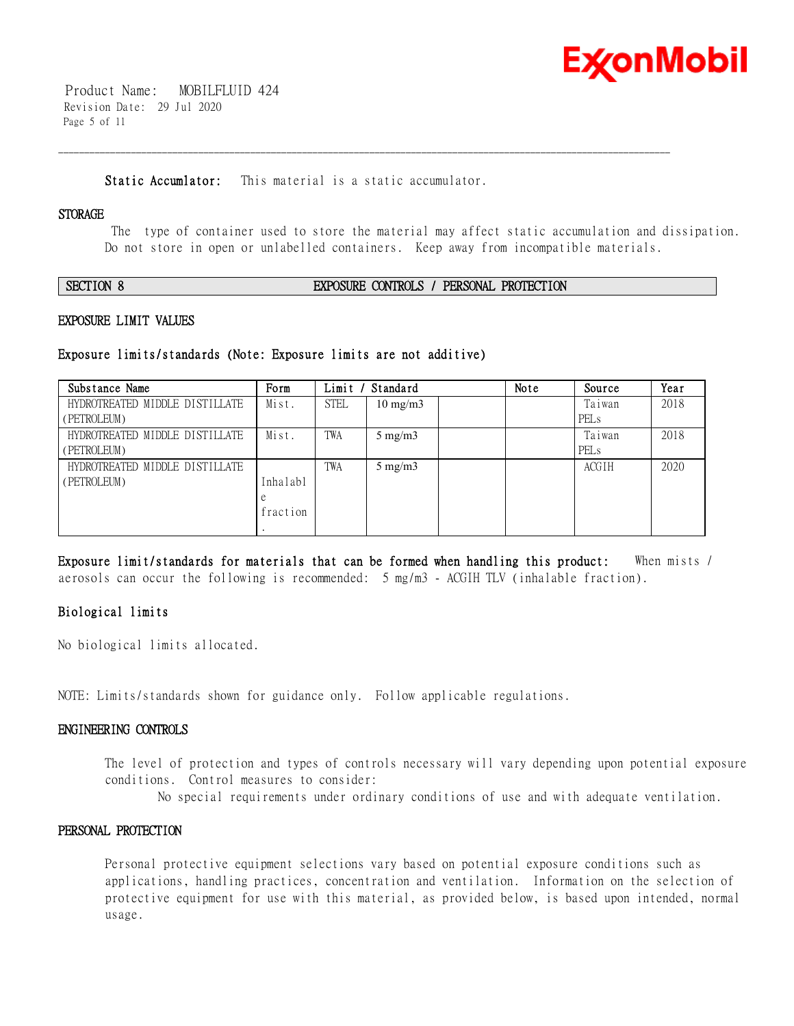

 Product Name: MOBILFLUID 424 Revision Date: 29 Jul 2020 Page 5 of 11

**Static Accumlator:** This material is a static accumulator.

\_\_\_\_\_\_\_\_\_\_\_\_\_\_\_\_\_\_\_\_\_\_\_\_\_\_\_\_\_\_\_\_\_\_\_\_\_\_\_\_\_\_\_\_\_\_\_\_\_\_\_\_\_\_\_\_\_\_\_\_\_\_\_\_\_\_\_\_\_\_\_\_\_\_\_\_\_\_\_\_\_\_\_\_\_\_\_\_\_\_\_\_\_\_\_\_\_\_\_\_\_\_\_\_\_\_\_\_\_\_\_\_\_\_\_\_\_\_

### **STORAGE**

 The type of container used to store the material may affect static accumulation and dissipation. Do not store in open or unlabelled containers. Keep away from incompatible materials.

**SECTION 8 EXPOSURE CONTROLS / PERSONAL PROTECTION**

# **EXPOSURE LIMIT VALUES**

# **Exposure limits/standards (Note: Exposure limits are not additive)**

| Substance Name                 | Form     | Limit       | Standard          | Note | Source           | Year |
|--------------------------------|----------|-------------|-------------------|------|------------------|------|
| HYDROTREATED MIDDLE DISTILLATE | Mist.    | <b>STEL</b> | $10 \text{ mg/m}$ |      | Taiwan           | 2018 |
| (PETROLEUM)                    |          |             |                   |      | PEL <sub>s</sub> |      |
| HYDROTREATED MIDDLE DISTILLATE | Mist.    | TWA         | $5 \text{ mg/m}$  |      | Taiwan           | 2018 |
| (PETROLEUM)                    |          |             |                   |      | PEL <sub>s</sub> |      |
| HYDROTREATED MIDDLE DISTILLATE |          | TWA         | $5 \text{ mg/m}$  |      | ACGIH            | 2020 |
| (PETROLEUM)                    | Inhalabl |             |                   |      |                  |      |
|                                | e        |             |                   |      |                  |      |
|                                | fraction |             |                   |      |                  |      |
|                                |          |             |                   |      |                  |      |

**Exposure limit/standards for materials that can be formed when handling this product:** When mists / aerosols can occur the following is recommended: 5 mg/m3 - ACGIH TLV (inhalable fraction).

# **Biological limits**

No biological limits allocated.

NOTE: Limits/standards shown for guidance only. Follow applicable regulations.

# **ENGINEERING CONTROLS**

The level of protection and types of controls necessary will vary depending upon potential exposure conditions. Control measures to consider:

No special requirements under ordinary conditions of use and with adequate ventilation.

# **PERSONAL PROTECTION**

Personal protective equipment selections vary based on potential exposure conditions such as applications, handling practices, concentration and ventilation. Information on the selection of protective equipment for use with this material, as provided below, is based upon intended, normal usage.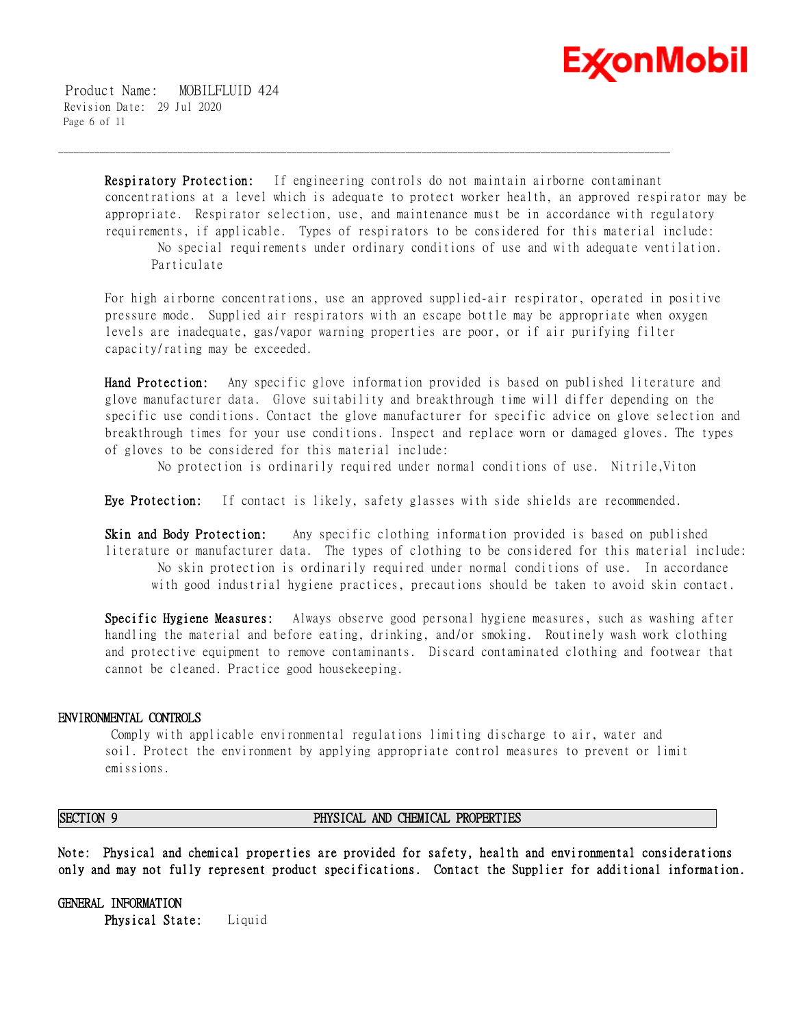

 Product Name: MOBILFLUID 424 Revision Date: 29 Jul 2020 Page 6 of 11

> **Respiratory Protection:** If engineering controls do not maintain airborne contaminant concentrations at a level which is adequate to protect worker health, an approved respirator may be appropriate. Respirator selection, use, and maintenance must be in accordance with regulatory requirements, if applicable. Types of respirators to be considered for this material include: No special requirements under ordinary conditions of use and with adequate ventilation.

\_\_\_\_\_\_\_\_\_\_\_\_\_\_\_\_\_\_\_\_\_\_\_\_\_\_\_\_\_\_\_\_\_\_\_\_\_\_\_\_\_\_\_\_\_\_\_\_\_\_\_\_\_\_\_\_\_\_\_\_\_\_\_\_\_\_\_\_\_\_\_\_\_\_\_\_\_\_\_\_\_\_\_\_\_\_\_\_\_\_\_\_\_\_\_\_\_\_\_\_\_\_\_\_\_\_\_\_\_\_\_\_\_\_\_\_\_\_

Particulate

For high airborne concentrations, use an approved supplied-air respirator, operated in positive pressure mode. Supplied air respirators with an escape bottle may be appropriate when oxygen levels are inadequate, gas/vapor warning properties are poor, or if air purifying filter capacity/rating may be exceeded.

**Hand Protection:** Any specific glove information provided is based on published literature and glove manufacturer data. Glove suitability and breakthrough time will differ depending on the specific use conditions. Contact the glove manufacturer for specific advice on glove selection and breakthrough times for your use conditions. Inspect and replace worn or damaged gloves. The types of gloves to be considered for this material include:

No protection is ordinarily required under normal conditions of use. Nitrile,Viton

**Eye Protection:** If contact is likely, safety glasses with side shields are recommended.

**Skin and Body Protection:** Any specific clothing information provided is based on published literature or manufacturer data. The types of clothing to be considered for this material include: No skin protection is ordinarily required under normal conditions of use. In accordance with good industrial hygiene practices, precautions should be taken to avoid skin contact.

**Specific Hygiene Measures:** Always observe good personal hygiene measures, such as washing after handling the material and before eating, drinking, and/or smoking. Routinely wash work clothing and protective equipment to remove contaminants. Discard contaminated clothing and footwear that cannot be cleaned. Practice good housekeeping.

# **ENVIRONMENTAL CONTROLS**

 Comply with applicable environmental regulations limiting discharge to air, water and soil. Protect the environment by applying appropriate control measures to prevent or limit emissions.

### **SECTION 9 PHYSICAL AND CHEMICAL PROPERTIES**

**Note: Physical and chemical properties are provided for safety, health and environmental considerations only and may not fully represent product specifications. Contact the Supplier for additional information.**

**GENERAL INFORMATION Physical State:** Liquid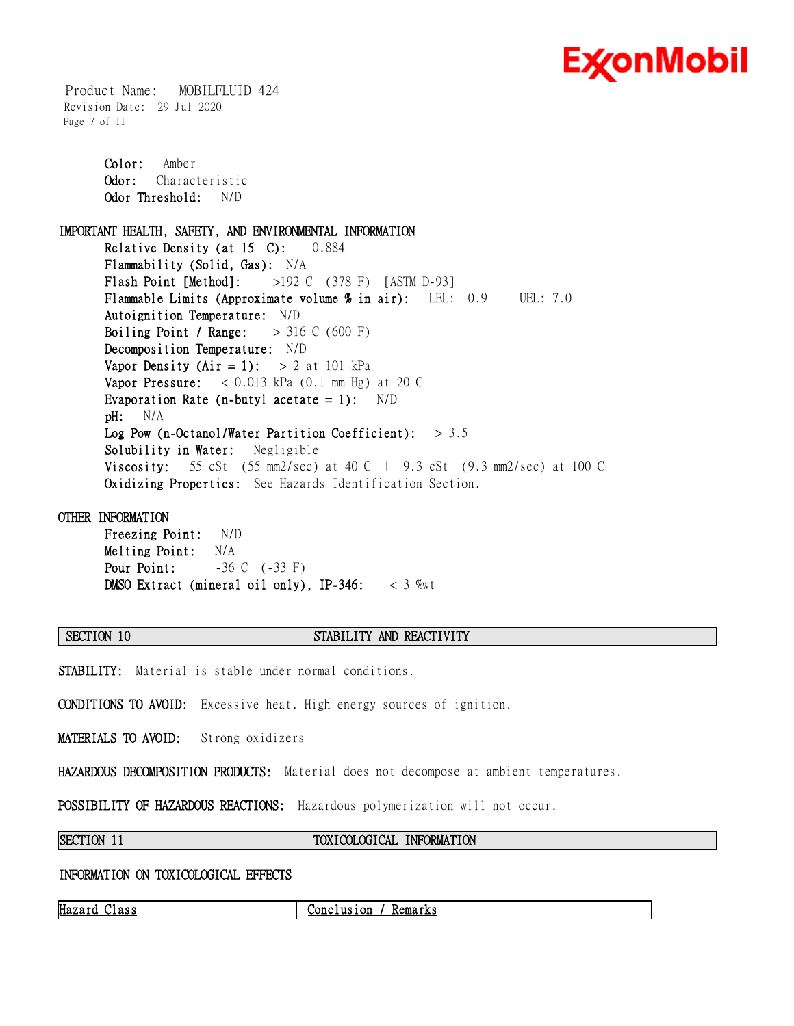

 Product Name: MOBILFLUID 424 Revision Date: 29 Jul 2020 Page 7 of 11

**Color:** Amber **Odor:** Characteristic **Odor Threshold:** N/D **IMPORTANT HEALTH, SAFETY, AND ENVIRONMENTAL INFORMATION Relative Density (at 15 C):** 0.884 **Flammability (Solid, Gas):** N/A **Flash Point [Method]:** >192 C (378 F) [ASTM D-93] **Flammable Limits (Approximate volume % in air):** LEL: 0.9 UEL: 7.0 **Autoignition Temperature:** N/D **Boiling Point / Range:** > 316 C (600 F) **Decomposition Temperature:** N/D **Vapor Density (Air = 1):**  $> 2$  at 101 kPa **Vapor Pressure:** < 0.013 kPa (0.1 mm Hg) at 20 C **Evaporation Rate (n-butyl acetate = 1):** N/D **pH:** N/A **Log Pow (n-Octanol/Water Partition Coefficient):** > 3.5 **Solubility in Water:** Negligible **Viscosity:** 55 cSt (55 mm2/sec) at 40 C  $\pm$  9.3 cSt (9.3 mm2/sec) at 100 C **Oxidizing Properties:** See Hazards Identification Section.

\_\_\_\_\_\_\_\_\_\_\_\_\_\_\_\_\_\_\_\_\_\_\_\_\_\_\_\_\_\_\_\_\_\_\_\_\_\_\_\_\_\_\_\_\_\_\_\_\_\_\_\_\_\_\_\_\_\_\_\_\_\_\_\_\_\_\_\_\_\_\_\_\_\_\_\_\_\_\_\_\_\_\_\_\_\_\_\_\_\_\_\_\_\_\_\_\_\_\_\_\_\_\_\_\_\_\_\_\_\_\_\_\_\_\_\_\_\_

### **OTHER INFORMATION**

**Freezing Point:** N/D **Melting Point:** N/A **Pour Point:** -36 C (-33 F) **DMSO Extract (mineral oil only), IP-346:** < 3 %wt

# **SECTION 10 STABILITY AND REACTIVITY**

**STABILITY:** Material is stable under normal conditions.

**CONDITIONS TO AVOID:** Excessive heat. High energy sources of ignition.

**MATERIALS TO AVOID:** Strong oxidizers

**HAZARDOUS DECOMPOSITION PRODUCTS:** Material does not decompose at ambient temperatures.

**POSSIBILITY OF HAZARDOUS REACTIONS:** Hazardous polymerization will not occur.

### **SECTION 11 TOXICOLOGICAL INFORMATION**

# **INFORMATION ON TOXICOLOGICAL EFFECTS**

**Hazard Class Conclusion / Remarks**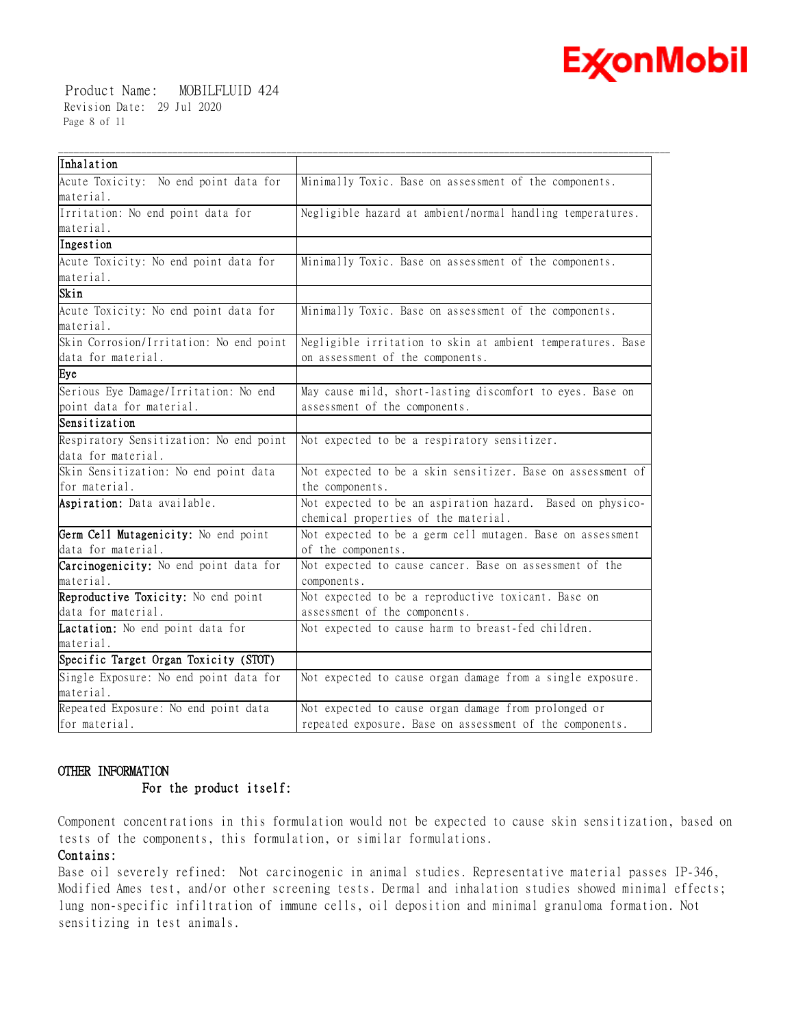

 Product Name: MOBILFLUID 424 Revision Date: 29 Jul 2020 Page 8 of 11

| Inhalation                              |                                                                                                    |
|-----------------------------------------|----------------------------------------------------------------------------------------------------|
| Acute Toxicity: No end point data for   | Minimally Toxic. Base on assessment of the components.                                             |
| material.                               |                                                                                                    |
| Irritation: No end point data for       | Negligible hazard at ambient/normal handling temperatures.                                         |
| material.                               |                                                                                                    |
| Ingestion                               |                                                                                                    |
| Acute Toxicity: No end point data for   | Minimally Toxic. Base on assessment of the components.                                             |
| material.                               |                                                                                                    |
| Skin                                    |                                                                                                    |
| Acute Toxicity: No end point data for   | Minimally Toxic. Base on assessment of the components.                                             |
| material.                               |                                                                                                    |
| Skin Corrosion/Irritation: No end point | Negligible irritation to skin at ambient temperatures. Base                                        |
| data for material.                      | on assessment of the components.                                                                   |
| Eye                                     |                                                                                                    |
| Serious Eye Damage/Irritation: No end   | May cause mild, short-lasting discomfort to eyes. Base on                                          |
| point data for material.                | assessment of the components.                                                                      |
| Sensitization                           |                                                                                                    |
| Respiratory Sensitization: No end point | Not expected to be a respiratory sensitizer.                                                       |
| data for material.                      |                                                                                                    |
| Skin Sensitization: No end point data   | Not expected to be a skin sensitizer. Base on assessment of                                        |
| for material.                           | the components.                                                                                    |
| Aspiration: Data available.             | Not expected to be an aspiration hazard. Based on physico-<br>chemical properties of the material. |
| Germ Cell Mutagenicity: No end point    | Not expected to be a germ cell mutagen. Base on assessment                                         |
| data for material.                      | of the components.                                                                                 |
| Carcinogenicity: No end point data for  | Not expected to cause cancer. Base on assessment of the                                            |
| material.                               | components.                                                                                        |
| Reproductive Toxicity: No end point     | Not expected to be a reproductive toxicant. Base on                                                |
| data for material.                      | assessment of the components.                                                                      |
| Lactation: No end point data for        | Not expected to cause harm to breast-fed children.                                                 |
| material.                               |                                                                                                    |
| Specific Target Organ Toxicity (STOT)   |                                                                                                    |
| Single Exposure: No end point data for  | Not expected to cause organ damage from a single exposure.                                         |
| material.                               |                                                                                                    |
| Repeated Exposure: No end point data    | Not expected to cause organ damage from prolonged or                                               |
| for material.                           | repeated exposure. Base on assessment of the components.                                           |

# **OTHER INFORMATION**

# **For the product itself:**

Component concentrations in this formulation would not be expected to cause skin sensitization, based on tests of the components, this formulation, or similar formulations.

# **Contains:**

Base oil severely refined: Not carcinogenic in animal studies. Representative material passes IP-346, Modified Ames test, and/or other screening tests. Dermal and inhalation studies showed minimal effects; lung non-specific infiltration of immune cells, oil deposition and minimal granuloma formation. Not sensitizing in test animals.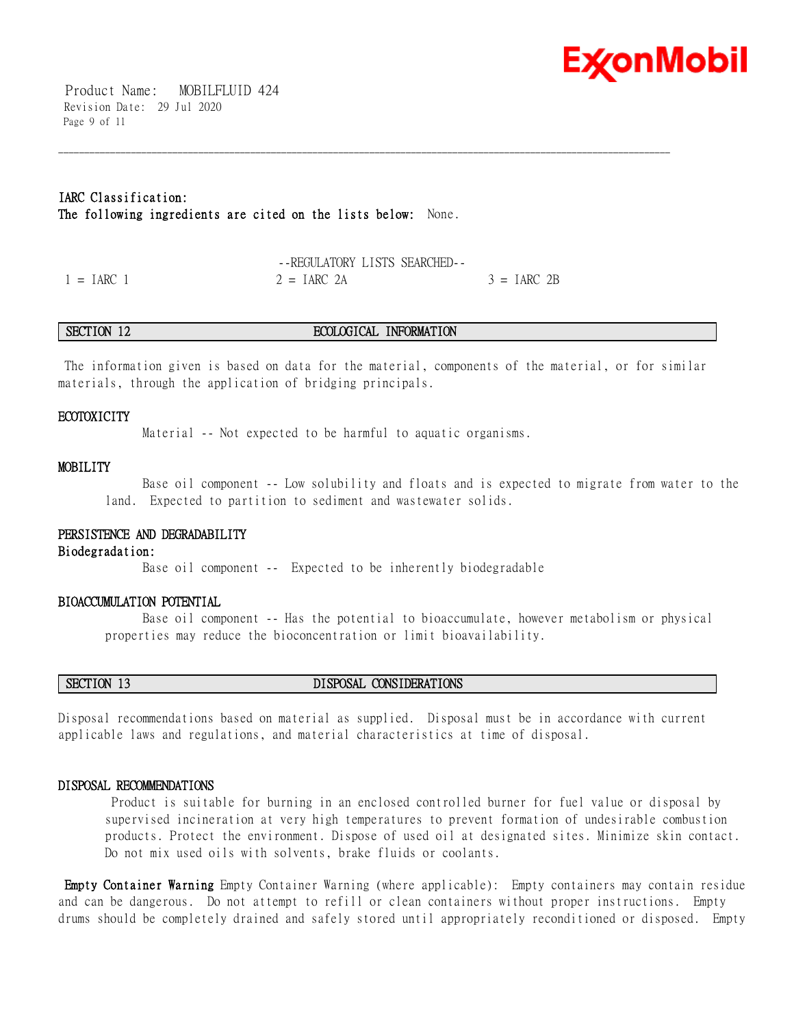

 Product Name: MOBILFLUID 424 Revision Date: 29 Jul 2020 Page 9 of 11

# **IARC Classification: The following ingredients are cited on the lists below:** None.

|              | --REGULATORY LISTS SEARCHED-- |               |
|--------------|-------------------------------|---------------|
| $' = IARC 1$ | $2 = IARC$ 2A                 | $3 = IARC 2B$ |

#### **SECTION 12 ECOLOGICAL INFORMATION**

\_\_\_\_\_\_\_\_\_\_\_\_\_\_\_\_\_\_\_\_\_\_\_\_\_\_\_\_\_\_\_\_\_\_\_\_\_\_\_\_\_\_\_\_\_\_\_\_\_\_\_\_\_\_\_\_\_\_\_\_\_\_\_\_\_\_\_\_\_\_\_\_\_\_\_\_\_\_\_\_\_\_\_\_\_\_\_\_\_\_\_\_\_\_\_\_\_\_\_\_\_\_\_\_\_\_\_\_\_\_\_\_\_\_\_\_\_\_

 The information given is based on data for the material, components of the material, or for similar materials, through the application of bridging principals.

### **ECOTOXICITY**

Material -- Not expected to be harmful to aquatic organisms.

#### **MOBILITY**

 Base oil component -- Low solubility and floats and is expected to migrate from water to the land. Expected to partition to sediment and wastewater solids.

# **PERSISTENCE AND DEGRADABILITY**

**Biodegradation:**

Base oil component -- Expected to be inherently biodegradable

#### **BIOACCUMULATION POTENTIAL**

 Base oil component -- Has the potential to bioaccumulate, however metabolism or physical properties may reduce the bioconcentration or limit bioavailability.

# **SECTION 13 DISPOSAL CONSIDERATIONS**

Disposal recommendations based on material as supplied. Disposal must be in accordance with current applicable laws and regulations, and material characteristics at time of disposal.

#### **DISPOSAL RECOMMENDATIONS**

 Product is suitable for burning in an enclosed controlled burner for fuel value or disposal by supervised incineration at very high temperatures to prevent formation of undesirable combustion products. Protect the environment. Dispose of used oil at designated sites. Minimize skin contact. Do not mix used oils with solvents, brake fluids or coolants.

**Empty Container Warning** Empty Container Warning (where applicable): Empty containers may contain residue and can be dangerous. Do not attempt to refill or clean containers without proper instructions. Empty drums should be completely drained and safely stored until appropriately reconditioned or disposed. Empty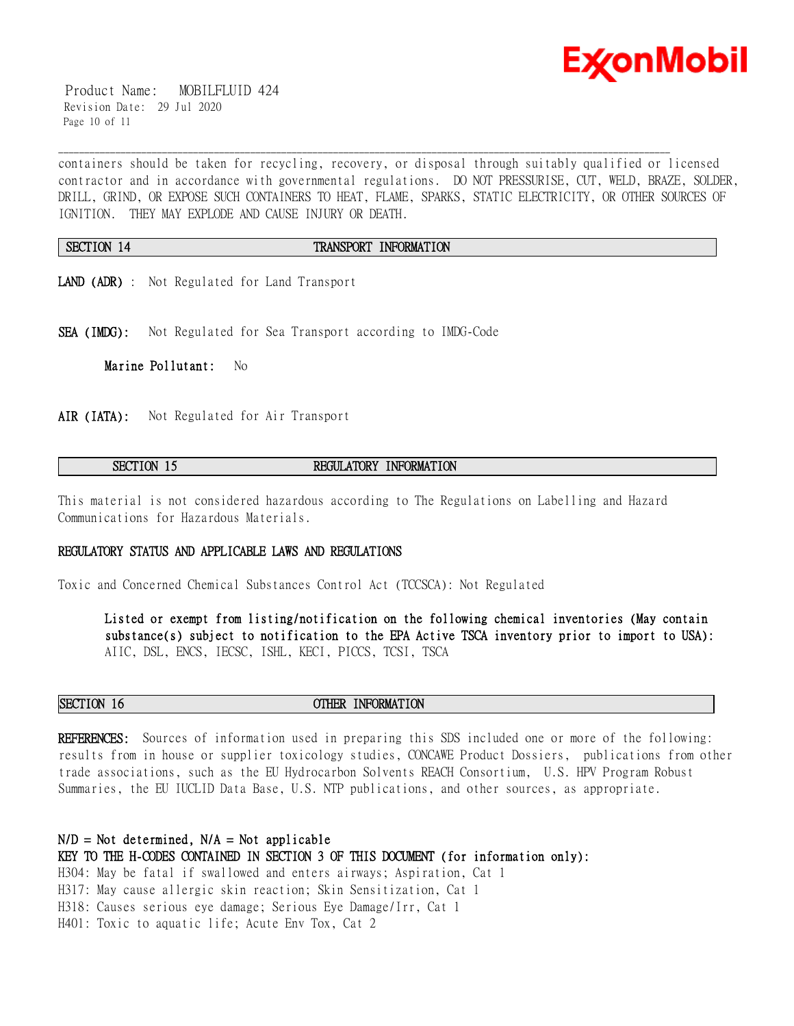

 Product Name: MOBILFLUID 424 Revision Date: 29 Jul 2020 Page 10 of 11

containers should be taken for recycling, recovery, or disposal through suitably qualified or licensed contractor and in accordance with governmental regulations. DO NOT PRESSURISE, CUT, WELD, BRAZE, SOLDER, DRILL, GRIND, OR EXPOSE SUCH CONTAINERS TO HEAT, FLAME, SPARKS, STATIC ELECTRICITY, OR OTHER SOURCES OF IGNITION. THEY MAY EXPLODE AND CAUSE INJURY OR DEATH.

#### **SECTION 14 TRANSPORT INFORMATION**

\_\_\_\_\_\_\_\_\_\_\_\_\_\_\_\_\_\_\_\_\_\_\_\_\_\_\_\_\_\_\_\_\_\_\_\_\_\_\_\_\_\_\_\_\_\_\_\_\_\_\_\_\_\_\_\_\_\_\_\_\_\_\_\_\_\_\_\_\_\_\_\_\_\_\_\_\_\_\_\_\_\_\_\_\_\_\_\_\_\_\_\_\_\_\_\_\_\_\_\_\_\_\_\_\_\_\_\_\_\_\_\_\_\_\_\_\_\_

- **LAND (ADR)** : Not Regulated for Land Transport
- **SEA (IMDG):** Not Regulated for Sea Transport according to IMDG-Code

**Marine Pollutant:** No

**AIR (IATA):** Not Regulated for Air Transport

# **SECTION 15 REGULATORY INFORMATION**

This material is not considered hazardous according to The Regulations on Labelling and Hazard Communications for Hazardous Materials.

#### **REGULATORY STATUS AND APPLICABLE LAWS AND REGULATIONS**

Toxic and Concerned Chemical Substances Control Act (TCCSCA): Not Regulated

**Listed or exempt from listing/notification on the following chemical inventories (May contain substance(s) subject to notification to the EPA Active TSCA inventory prior to import to USA):**  AIIC, DSL, ENCS, IECSC, ISHL, KECI, PICCS, TCSI, TSCA

**SECTION 16 OTHER INFORMATION**

**REFERENCES:** Sources of information used in preparing this SDS included one or more of the following: results from in house or supplier toxicology studies, CONCAWE Product Dossiers, publications from other trade associations, such as the EU Hydrocarbon Solvents REACH Consortium, U.S. HPV Program Robust Summaries, the EU IUCLID Data Base, U.S. NTP publications, and other sources, as appropriate.

#### **N/D = Not determined, N/A = Not applicable**

**KEY TO THE H-CODES CONTAINED IN SECTION 3 OF THIS DOCUMENT (for information only):**

H304: May be fatal if swallowed and enters airways; Aspiration, Cat 1 H317: May cause allergic skin reaction; Skin Sensitization, Cat 1 H318: Causes serious eye damage; Serious Eye Damage/Irr, Cat 1 H401: Toxic to aquatic life; Acute Env Tox, Cat 2